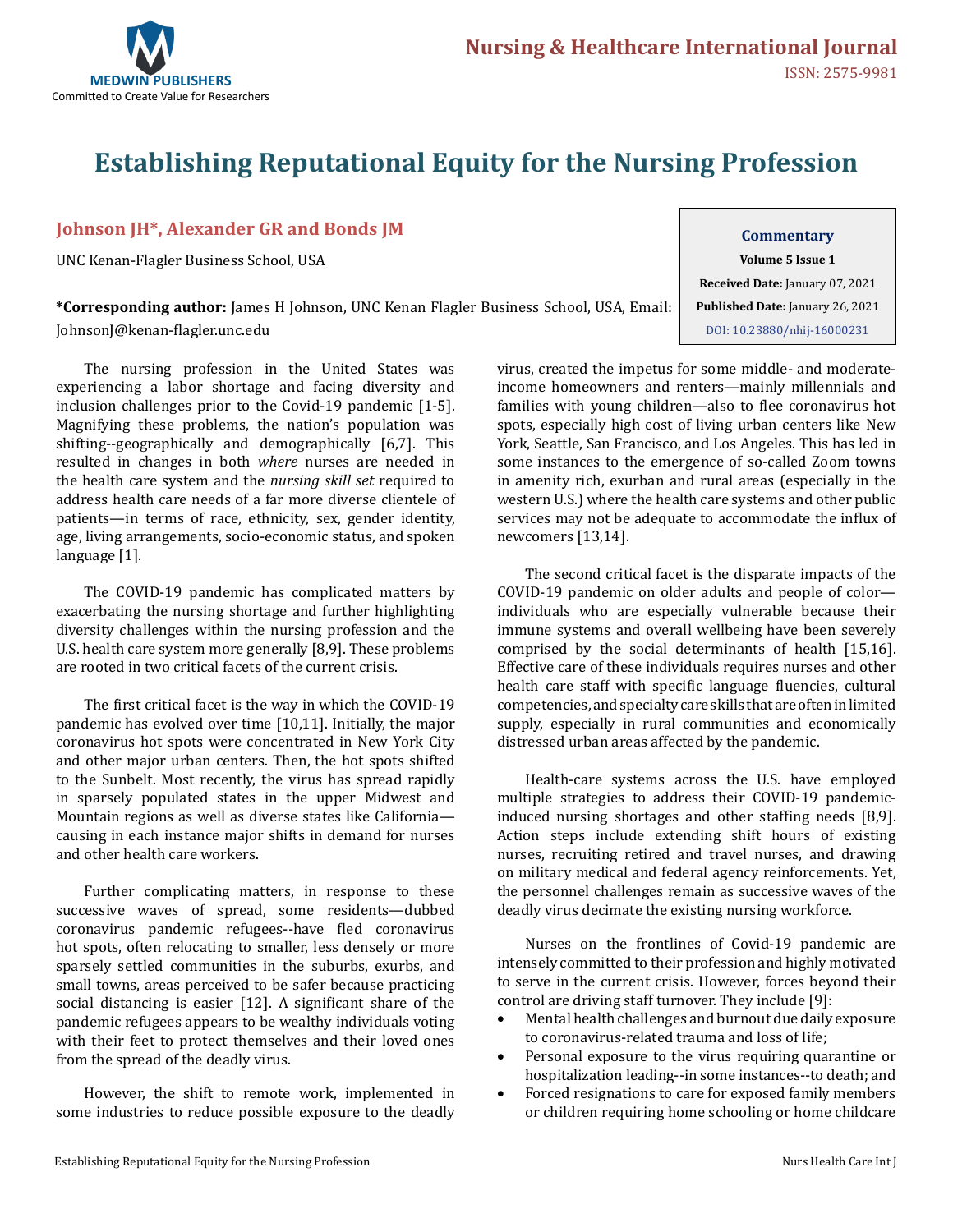

# **Establishing Reputational Equity for the Nursing Profession**

#### **Johnson JH\*, Alexander GR and Bonds JM**

UNC Kenan-Flagler Business School, USA

**\*Corresponding author:** James H Johnson, UNC Kenan Flagler Business School, USA, Email: JohnsonJ@kenan-flagler.unc.edu

The nursing profession in the United States was experiencing a labor shortage and facing diversity and inclusion challenges prior to the Covid-19 pandemic [1-5]. Magnifying these problems, the nation's population was shifting--geographically and demographically [6,7]. This resulted in changes in both *where* nurses are needed in the health care system and the *nursing skill set* required to address health care needs of a far more diverse clientele of patients—in terms of race, ethnicity, sex, gender identity, age, living arrangements, socio-economic status, and spoken language [1].

The COVID-19 pandemic has complicated matters by exacerbating the nursing shortage and further highlighting diversity challenges within the nursing profession and the U.S. health care system more generally [8,9]. These problems are rooted in two critical facets of the current crisis.

The first critical facet is the way in which the COVID-19 pandemic has evolved over time [10,11]. Initially, the major coronavirus hot spots were concentrated in New York City and other major urban centers. Then, the hot spots shifted to the Sunbelt. Most recently, the virus has spread rapidly in sparsely populated states in the upper Midwest and Mountain regions as well as diverse states like California causing in each instance major shifts in demand for nurses and other health care workers.

Further complicating matters, in response to these successive waves of spread, some residents—dubbed coronavirus pandemic refugees--have fled coronavirus hot spots, often relocating to smaller, less densely or more sparsely settled communities in the suburbs, exurbs, and small towns, areas perceived to be safer because practicing social distancing is easier [12]. A significant share of the pandemic refugees appears to be wealthy individuals voting with their feet to protect themselves and their loved ones from the spread of the deadly virus.

However, the shift to remote work, implemented in some industries to reduce possible exposure to the deadly

### **Commentary Volume 5 Issue 1 Received Date:** January 07, 2021 **Published Date:** January 26, 2021 [DOI: 10.23880/nhij-1600023](https://doi.org/10.23880/nhij-16000231)1

virus, created the impetus for some middle- and moderateincome homeowners and renters—mainly millennials and families with young children—also to flee coronavirus hot spots, especially high cost of living urban centers like New York, Seattle, San Francisco, and Los Angeles. This has led in some instances to the emergence of so-called Zoom towns in amenity rich, exurban and rural areas (especially in the western U.S.) where the health care systems and other public services may not be adequate to accommodate the influx of newcomers [13,14].

The second critical facet is the disparate impacts of the COVID-19 pandemic on older adults and people of color individuals who are especially vulnerable because their immune systems and overall wellbeing have been severely comprised by the social determinants of health [15,16]. Effective care of these individuals requires nurses and other health care staff with specific language fluencies, cultural competencies, and specialty care skills that are often in limited supply, especially in rural communities and economically distressed urban areas affected by the pandemic.

Health-care systems across the U.S. have employed multiple strategies to address their COVID-19 pandemicinduced nursing shortages and other staffing needs [8,9]. Action steps include extending shift hours of existing nurses, recruiting retired and travel nurses, and drawing on military medical and federal agency reinforcements. Yet, the personnel challenges remain as successive waves of the deadly virus decimate the existing nursing workforce.

Nurses on the frontlines of Covid-19 pandemic are intensely committed to their profession and highly motivated to serve in the current crisis. However, forces beyond their control are driving staff turnover. They include [9]:

- Mental health challenges and burnout due daily exposure to coronavirus-related trauma and loss of life;
- Personal exposure to the virus requiring quarantine or hospitalization leading--in some instances--to death; and
- • Forced resignations to care for exposed family members or children requiring home schooling or home childcare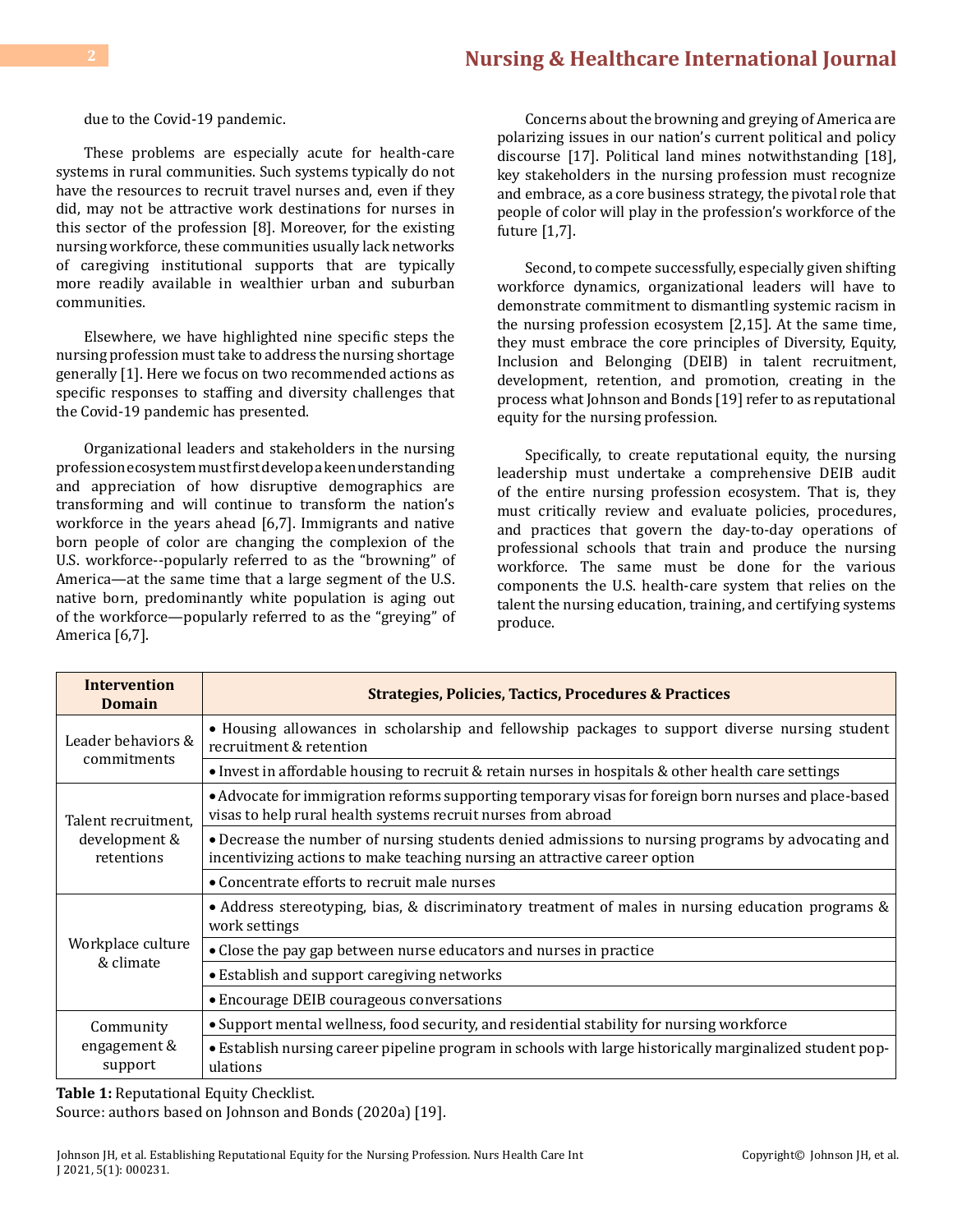#### **[Nursing & Healthcare International Journal](https://medwinpublishers.com/NHIJ/) 2**

due to the Covid-19 pandemic.

These problems are especially acute for health-care systems in rural communities. Such systems typically do not have the resources to recruit travel nurses and, even if they did, may not be attractive work destinations for nurses in this sector of the profession [8]. Moreover, for the existing nursing workforce, these communities usually lack networks of caregiving institutional supports that are typically more readily available in wealthier urban and suburban communities.

Elsewhere, we have highlighted nine specific steps the nursing profession must take to address the nursing shortage generally [1]. Here we focus on two recommended actions as specific responses to staffing and diversity challenges that the Covid-19 pandemic has presented.

Organizational leaders and stakeholders in the nursing profession ecosystem must first develop a keen understanding and appreciation of how disruptive demographics are transforming and will continue to transform the nation's workforce in the years ahead [6,7]. Immigrants and native born people of color are changing the complexion of the U.S. workforce--popularly referred to as the "browning" of America—at the same time that a large segment of the U.S. native born, predominantly white population is aging out of the workforce—popularly referred to as the "greying" of America [6,7].

Concerns about the browning and greying of America are polarizing issues in our nation's current political and policy discourse [17]. Political land mines notwithstanding [18], key stakeholders in the nursing profession must recognize and embrace, as a core business strategy, the pivotal role that people of color will play in the profession's workforce of the future [1,7].

Second, to compete successfully, especially given shifting workforce dynamics, organizational leaders will have to demonstrate commitment to dismantling systemic racism in the nursing profession ecosystem [2,15]. At the same time, they must embrace the core principles of Diversity, Equity, Inclusion and Belonging (DEIB) in talent recruitment, development, retention, and promotion, creating in the process what Johnson and Bonds [19] refer to as reputational equity for the nursing profession.

Specifically, to create reputational equity, the nursing leadership must undertake a comprehensive DEIB audit of the entire nursing profession ecosystem. That is, they must critically review and evaluate policies, procedures, and practices that govern the day-to-day operations of professional schools that train and produce the nursing workforce. The same must be done for the various components the U.S. health-care system that relies on the talent the nursing education, training, and certifying systems produce.

| <b>Intervention</b><br><b>Domain</b>               | <b>Strategies, Policies, Tactics, Procedures &amp; Practices</b>                                                                                                                |
|----------------------------------------------------|---------------------------------------------------------------------------------------------------------------------------------------------------------------------------------|
| Leader behaviors &<br>commitments                  | • Housing allowances in scholarship and fellowship packages to support diverse nursing student<br>recruitment & retention                                                       |
|                                                    | • Invest in affordable housing to recruit & retain nurses in hospitals & other health care settings                                                                             |
| Talent recruitment.<br>development &<br>retentions | • Advocate for immigration reforms supporting temporary visas for foreign born nurses and place-based<br>visas to help rural health systems recruit nurses from abroad          |
|                                                    | • Decrease the number of nursing students denied admissions to nursing programs by advocating and<br>incentivizing actions to make teaching nursing an attractive career option |
|                                                    | • Concentrate efforts to recruit male nurses                                                                                                                                    |
| Workplace culture<br>& climate                     | • Address stereotyping, bias, & discriminatory treatment of males in nursing education programs &<br>work settings                                                              |
|                                                    | • Close the pay gap between nurse educators and nurses in practice                                                                                                              |
|                                                    | • Establish and support caregiving networks                                                                                                                                     |
|                                                    | • Encourage DEIB courageous conversations                                                                                                                                       |
| Community<br>engagement &<br>support               | • Support mental wellness, food security, and residential stability for nursing workforce                                                                                       |
|                                                    | • Establish nursing career pipeline program in schools with large historically marginalized student pop-<br>ulations                                                            |

**Table 1:** Reputational Equity Checklist.

Source: authors based on Johnson and Bonds (2020a) [19].